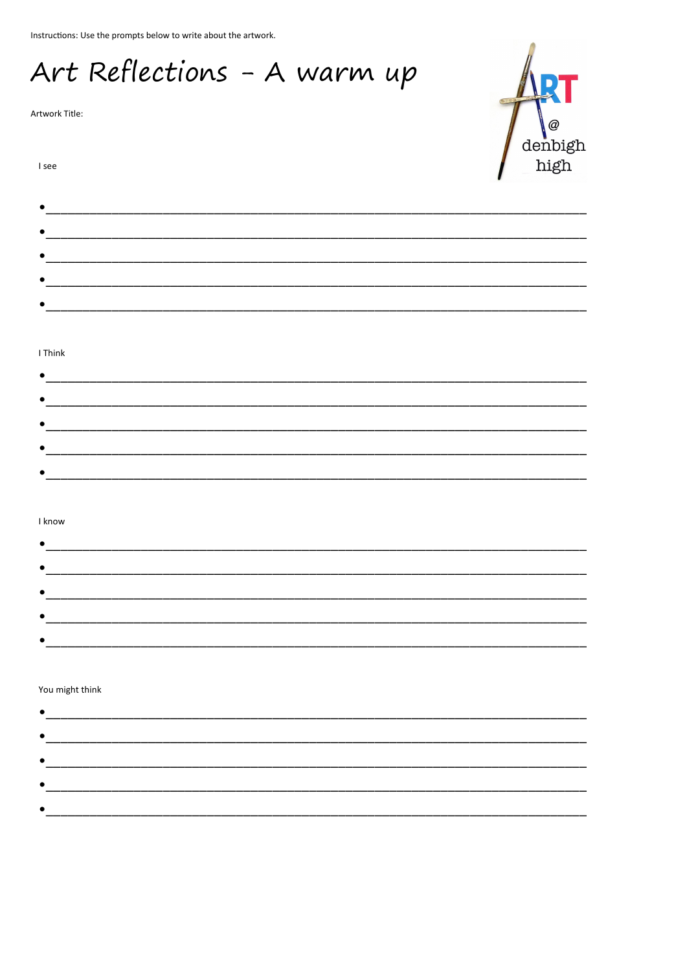Instructions: Use the prompts below to write about the artwork.

Art Reflections - A warm up

Artwork Title:

I see



| $\bullet$ |  |  |  |
|-----------|--|--|--|
| $\bullet$ |  |  |  |
| $\bullet$ |  |  |  |
| $\bullet$ |  |  |  |
|           |  |  |  |
| $\bullet$ |  |  |  |

## I Think

#### I know

### You might think

 $\bullet$  . The contract of the contract of the contract of the contract of the contract of the contract of the contract of the contract of the contract of the contract of the contract of the contract of the contract of the co  $\bullet$  . The contract of the contract of the contract of the contract of the contract of the contract of the contract of the contract of the contract of the contract of the contract of the contract of the contract of the co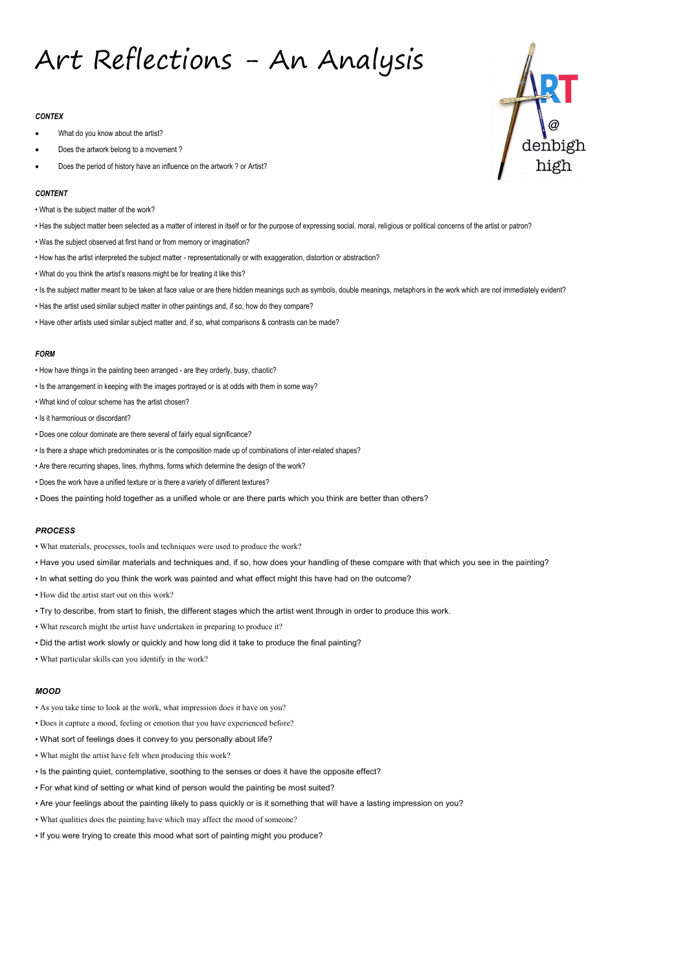# Art Reflections - An Analysis

#### *CONTEX*

- What do you know about the artist?
- Does the artwork belong to a movement ?
- Does the period of history have an influence on the artwork ? or Artist?

#### *CONTENT*

- What is the subject matter of the work?
- Has the subject matter been selected as a matter of interest in itself or for the purpose of expressing social, moral, religious or political concerns of the artist or patron?
- Was the subject observed at first hand or from memory or imagination?
- How has the artist interpreted the subject matter representationally or with exaggeration, distortion or abstraction?
- What do you think the artist's reasons might be for treating it like this?
- Is the subject matter meant to be taken at face value or are there hidden meanings such as symbols, double meanings, metaphors in the work which are not immediately evident?
- Has the artist used similar subject matter in other paintings and, if so, how do they compare?
- Have other artists used similar subject matter and, if so, what comparisons & contrasts can be made?

#### *FORM*

- How have things in the painting been arranged are they orderly, busy, chaotic?
- Is the arrangement in keeping with the images portrayed or is at odds with them in some way?
- What kind of colour scheme has the artist chosen?
- Is it harmonious or discordant?
- Does one colour dominate are there several of fairly equal significance?
- Is there a shape which predominates or is the composition made up of combinations of inter-related shapes?
- Are there recurring shapes, lines, rhythms, forms which determine the design of the work?
- Does the work have a unified texture or is there a variety of different textures?
- Does the painting hold together as a unified whole or are there parts which you think are better than others?

#### *PROCESS*

- What materials, processes, tools and techniques were used to produce the work?
- Have you used similar materials and techniques and, if so, how does your handling of these compare with that which you see in the painting?
- In what setting do you think the work was painted and what effect might this have had on the outcome?
- How did the artist start out on this work?
- Try to describe, from start to finish, the different stages which the artist went through in order to produce this work.
- What research might the artist have undertaken in preparing to produce it?
- Did the artist work slowly or quickly and how long did it take to produce the final painting?
- What particular skills can you identify in the work?

# *MOOD*

- As you take time to look at the work, what impression does it have on you?
- Does it capture a mood, feeling or emotion that you have experienced before?



- What sort of feelings does it convey to you personally about life?
- What might the artist have felt when producing this work?
- Is the painting quiet, contemplative, soothing to the senses or does it have the opposite effect?
- For what kind of setting or what kind of person would the painting be most suited?
- Are your feelings about the painting likely to pass quickly or is it something that will have a lasting impression on you?
- What qualities does the painting have which may affect the mood of someone?
- If you were trying to create this mood what sort of painting might you produce?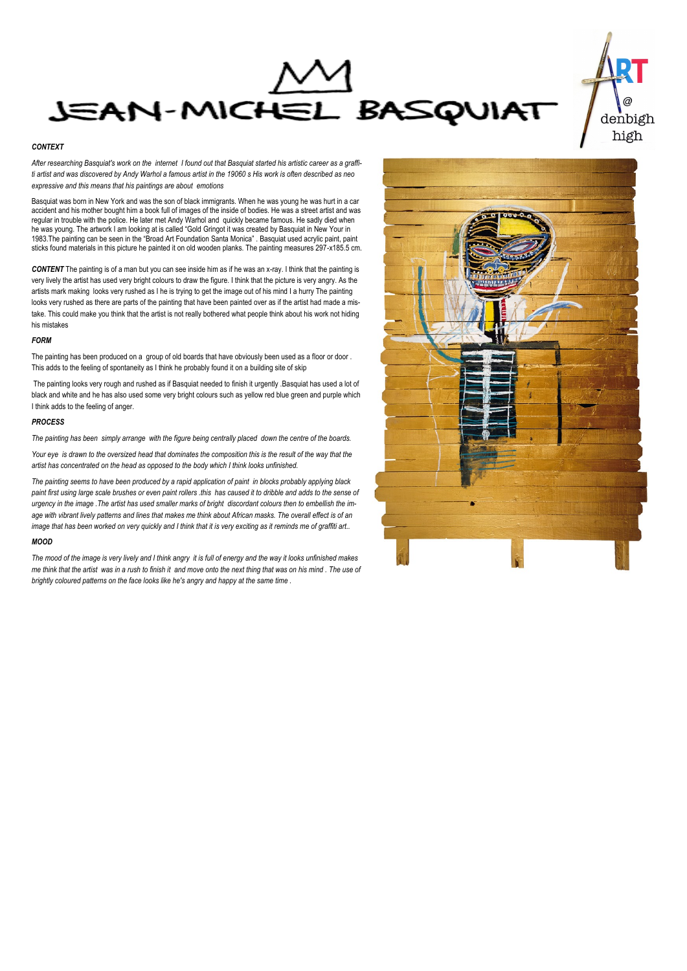



#### *CONTEXT*

*After researching Basquiat's work on the internet I found out that Basquiat started his artistic career as a graffiti artist and was discovered by Andy Warhol a famous artist in the 19060 s His work is often described as neo expressive and this means that his paintings are about emotions*

Basquiat was born in New York and was the son of black immigrants. When he was young he was hurt in a car accident and his mother bought him a book full of images of the inside of bodies. He was a street artist and was regular in trouble with the police. He later met Andy Warhol and quickly became famous. He sadly died when he was young. The artwork I am looking at is called "Gold Gringot it was created by Basquiat in New Your in 1983.The painting can be seen in the "Broad Art Foundation Santa Monica" . Basquiat used acrylic paint, paint sticks found materials in this picture he painted it on old wooden planks. The painting measures 297-x185.5 cm.

The painting has been produced on a group of old boards that have obviously been used as a floor or door. This adds to the feeling of spontaneity as I think he probably found it on a building site of skip

*CONTENT* The painting is of a man but you can see inside him as if he was an x-ray. I think that the painting is very lively the artist has used very bright colours to draw the figure. I think that the picture is very angry. As the artists mark making looks very rushed as I he is trying to get the image out of his mind I a hurry The painting looks very rushed as there are parts of the painting that have been painted over as if the artist had made a mistake. This could make you think that the artist is not really bothered what people think about his work not hiding his mistakes

#### *FORM*

The painting looks very rough and rushed as if Basquiat needed to finish it urgently .Basquiat has used a lot of black and white and he has also used some very bright colours such as yellow red blue green and purple which I think adds to the feeling of anger.

#### *PROCESS*

*The painting has been simply arrange with the figure being centrally placed down the centre of the boards.*

*Your eye is drawn to the oversized head that dominates the composition this is the result of the way that the artist has concentrated on the head as opposed to the body which I think looks unfinished.*

*The painting seems to have been produced by a rapid application of paint in blocks probably applying black paint first using large scale brushes or even paint rollers .this has caused it to dribble and adds to the sense of urgency in the image .The artist has used smaller marks of bright discordant colours then to embellish the image with vibrant lively patterns and lines that makes me think about African masks. The overall effect is of an image that has been worked on very quickly and I think that it is very exciting as it reminds me of graffiti art..*

#### *MOOD*

*The mood of the image is very lively and I think angry it is full of energy and the way it looks unfinished makes me think that the artist was in a rush to finish it and move onto the next thing that was on his mind . The use of brightly coloured patterns on the face looks like he's angry and happy at the same time .*